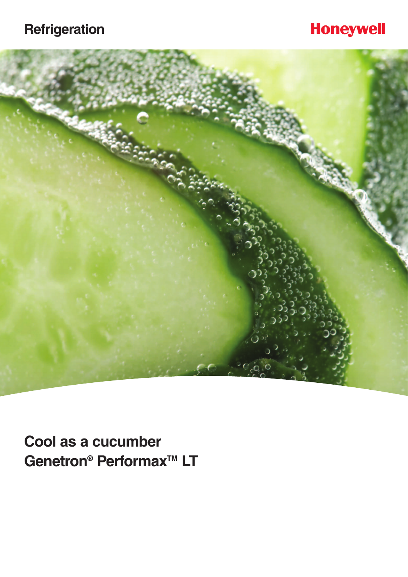## **Refrigeration**

## **Honeywell**



**Cool as a cucumber** Genetron<sup>®</sup> Performax<sup>™</sup> LT